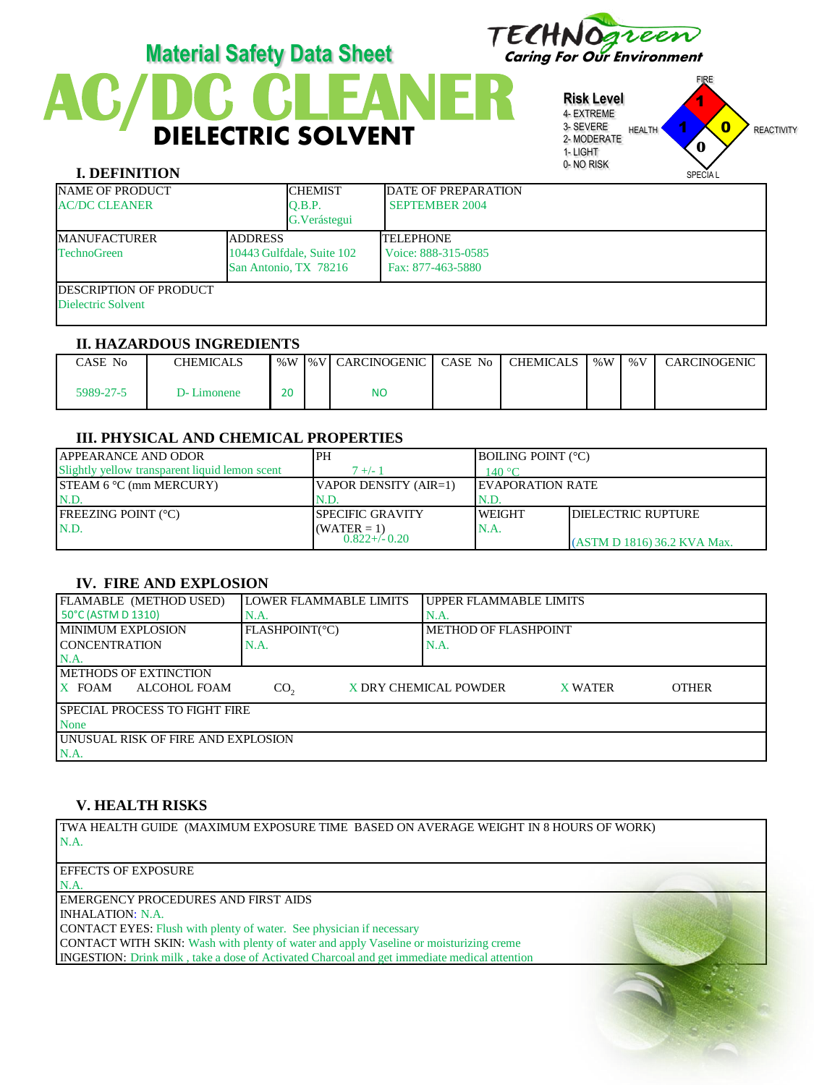

# **DIELECTRIC SOLVENT Material Safety Data Sheet** TECHNOgreen

**Risk Level** 4- EXTREME 3- SEVERE 2- MODERATE 1- LIGHT 0- NO RISK FIRE HEALTH **1 X 0** REACTIVITY 1 1  $\mathbf{0}$ **0**

SPECIA L

## **I. DEFINITION**

| <b>NAME OF PRODUCT</b><br><b>AC/DC CLEANER</b> |  | <b>CHEMIST</b><br>O.B.P.  | <b>DATE OF PREPARATION</b><br><b>SEPTEMBER 2004</b> |
|------------------------------------------------|--|---------------------------|-----------------------------------------------------|
|                                                |  | G. Verástegui             |                                                     |
| <b>ADDRESS</b><br><b>IMANUFACTURER</b>         |  |                           | <b>TELEPHONE</b>                                    |
| <b>TechnoGreen</b>                             |  | 10443 Gulfdale, Suite 102 | Voice: 888-315-0585                                 |
| San Antonio, TX 78216                          |  |                           | Fax: 877-463-5880                                   |
| <b>IDESCRIPTION OF PRODUCT</b>                 |  |                           |                                                     |
| Dielectric Solvent                             |  |                           |                                                     |
|                                                |  |                           |                                                     |

#### **II. HAZARDOUS INGREDIENTS**

| <sup>C</sup> ASE No | <b>CHEMICALS</b> |    | ∣ %W I%VI CARCINOGENIC | CASE No. | CHEMICALS | % W | % V | CARCINOGENIC |
|---------------------|------------------|----|------------------------|----------|-----------|-----|-----|--------------|
| 5989-27-5           | D-Limonene       | 20 | <b>NC</b>              |          |           |     |     |              |

### **III. PHYSICAL AND CHEMICAL PROPERTIES**

| <b>JAPPEARANCE AND ODOR</b>                    | <b>PH</b>               | <b>IBOILING POINT (°C)</b> |                             |
|------------------------------------------------|-------------------------|----------------------------|-----------------------------|
| Slightly vellow transparent liquid lemon scent | $7 +/-1$                | 140 °C                     |                             |
| $STEAM 6 °C$ (mm MERCURY)                      | VAPOR DENSITY (AIR=1)   | <b>IEVAPORATION RATE</b>   |                             |
| N.D                                            | N.D.                    | IN.D.                      |                             |
| <b>FREEZING POINT (°C)</b>                     | <b>SPECIFIC GRAVITY</b> | <b>IWEIGHT</b>             | <b>IDIELECTRIC RUPTURE</b>  |
| N.D.                                           | $(WATER = 1)$           | IN.A.                      |                             |
|                                                | $0.822 + (-0.20)$       |                            | (ASTM D 1816) 36.2 KVA Max. |

# **IV. FIRE AND EXPLOSION**

| FLAMABLE (METHOD USED)                | <b>LOWER FLAMMABLE LIMITS</b> |  | UPPER FLAMMABLE LIMITS      |                |              |  |  |
|---------------------------------------|-------------------------------|--|-----------------------------|----------------|--------------|--|--|
| 50°C (ASTM D 1310)                    | N.A.                          |  | N.A.                        |                |              |  |  |
| <b>IMINIMUM EXPLOSION</b>             | FLASHPOINT(°C)                |  | <b>METHOD OF FLASHPOINT</b> |                |              |  |  |
| <b>ICONCENTRATION</b>                 | N.A.                          |  | N.A.                        |                |              |  |  |
| N.A                                   |                               |  |                             |                |              |  |  |
| <b>IMETHODS OF EXTINCTION</b>         |                               |  |                             |                |              |  |  |
| $X$ FOAM<br>ALCOHOL FOAM              | CO <sub>2</sub>               |  | X DRY CHEMICAL POWDER       | <b>X WATER</b> | <b>OTHER</b> |  |  |
| <b>ISPECIAL PROCESS TO FIGHT FIRE</b> |                               |  |                             |                |              |  |  |
| None                                  |                               |  |                             |                |              |  |  |
| UNUSUAL RISK OF FIRE AND EXPLOSION    |                               |  |                             |                |              |  |  |
| N.A.                                  |                               |  |                             |                |              |  |  |

# **V. HEALTH RISKS**

TWA HEALTH GUIDE (MAXIMUM EXPOSURE TIME BASED ON AVERAGE WEIGHT IN 8 HOURS OF WORK) N.A.

EFFECTS OF EXPOSURE

N.A. EMERGENCY PROCEDURES AND FIRST AIDS INHALATION: N.A.

CONTACT EYES: Flush with plenty of water. See physician if necessary

CONTACT WITH SKIN: Wash with plenty of water and apply Vaseline or moisturizing creme

INGESTION: Drink milk , take a dose of Activated Charcoal and get immediate medical attention